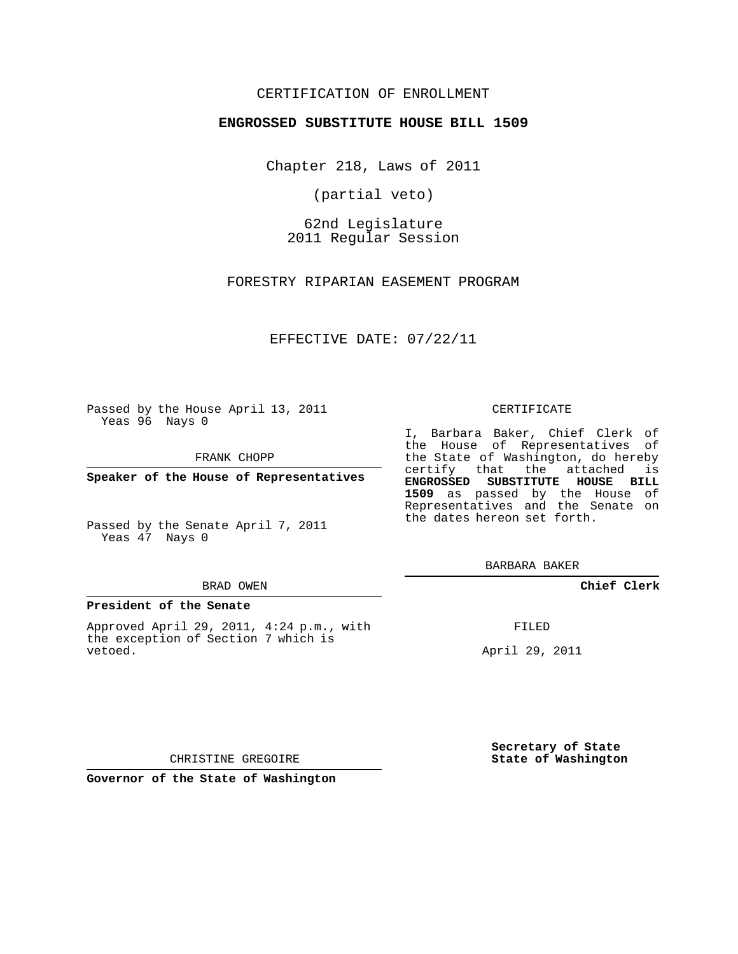## CERTIFICATION OF ENROLLMENT

### **ENGROSSED SUBSTITUTE HOUSE BILL 1509**

Chapter 218, Laws of 2011

(partial veto)

62nd Legislature 2011 Regular Session

FORESTRY RIPARIAN EASEMENT PROGRAM

EFFECTIVE DATE: 07/22/11

Passed by the House April 13, 2011 Yeas 96 Nays 0

FRANK CHOPP

**Speaker of the House of Representatives**

Passed by the Senate April 7, 2011 Yeas 47 Nays 0

#### BRAD OWEN

#### **President of the Senate**

Approved April 29, 2011, 4:24 p.m., with the exception of Section 7 which is vetoed.

#### CERTIFICATE

I, Barbara Baker, Chief Clerk of the House of Representatives of the State of Washington, do hereby certify that the attached is **ENGROSSED SUBSTITUTE HOUSE BILL 1509** as passed by the House of Representatives and the Senate on the dates hereon set forth.

BARBARA BAKER

**Chief Clerk**

FILED

April 29, 2011

**Secretary of State State of Washington**

CHRISTINE GREGOIRE

**Governor of the State of Washington**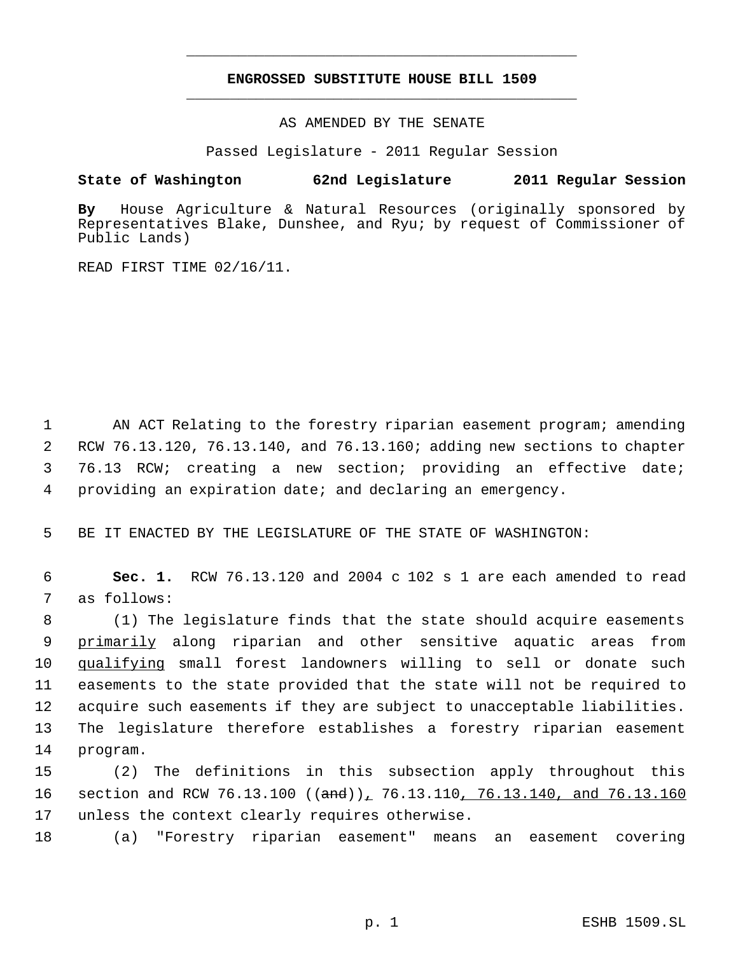# **ENGROSSED SUBSTITUTE HOUSE BILL 1509** \_\_\_\_\_\_\_\_\_\_\_\_\_\_\_\_\_\_\_\_\_\_\_\_\_\_\_\_\_\_\_\_\_\_\_\_\_\_\_\_\_\_\_\_\_

\_\_\_\_\_\_\_\_\_\_\_\_\_\_\_\_\_\_\_\_\_\_\_\_\_\_\_\_\_\_\_\_\_\_\_\_\_\_\_\_\_\_\_\_\_

AS AMENDED BY THE SENATE

Passed Legislature - 2011 Regular Session

## **State of Washington 62nd Legislature 2011 Regular Session**

**By** House Agriculture & Natural Resources (originally sponsored by Representatives Blake, Dunshee, and Ryu; by request of Commissioner of Public Lands)

READ FIRST TIME 02/16/11.

 AN ACT Relating to the forestry riparian easement program; amending RCW 76.13.120, 76.13.140, and 76.13.160; adding new sections to chapter 76.13 RCW; creating a new section; providing an effective date; providing an expiration date; and declaring an emergency.

5 BE IT ENACTED BY THE LEGISLATURE OF THE STATE OF WASHINGTON:

 6 **Sec. 1.** RCW 76.13.120 and 2004 c 102 s 1 are each amended to read 7 as follows:

 (1) The legislature finds that the state should acquire easements 9 <u>primarily</u> along riparian and other sensitive aquatic areas from qualifying small forest landowners willing to sell or donate such easements to the state provided that the state will not be required to acquire such easements if they are subject to unacceptable liabilities. The legislature therefore establishes a forestry riparian easement 14 program.

15 (2) The definitions in this subsection apply throughout this 16 section and RCW 76.13.100 ((and)), 76.13.110, 76.13.140, and 76.13.160 17 unless the context clearly requires otherwise.

18 (a) "Forestry riparian easement" means an easement covering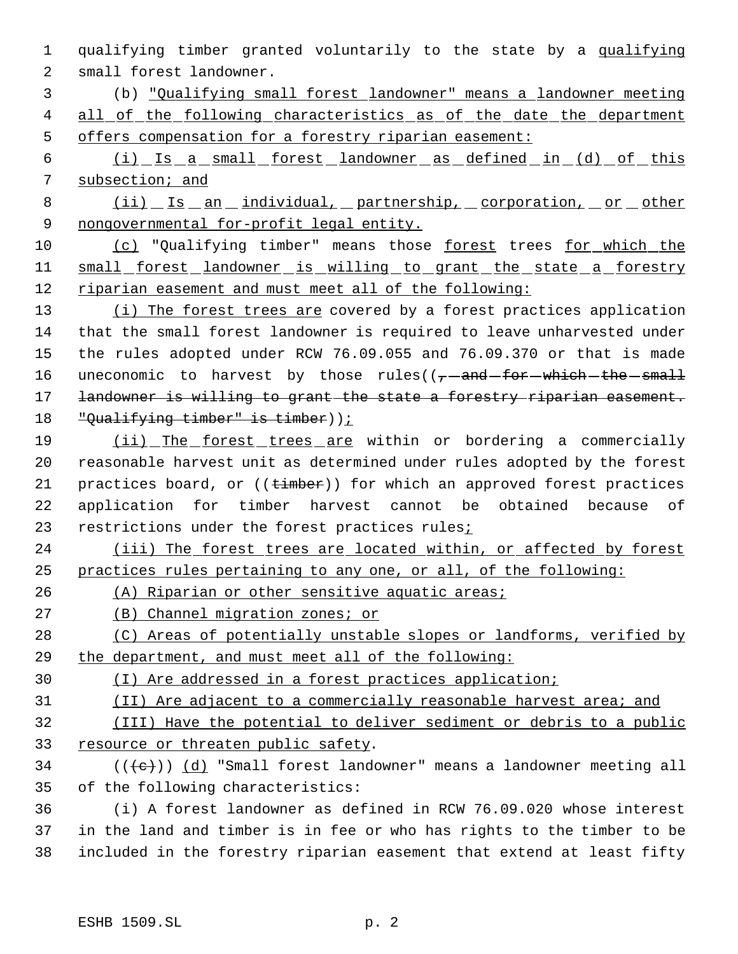qualifying timber granted voluntarily to the state by a qualifying small forest landowner.

 (b) "Qualifying small forest landowner" means a landowner meeting 4 all of the following characteristics as of the date the department offers compensation for a forestry riparian easement:

 (i) Is a small forest landowner as defined in (d) of this subsection; and

 (ii) Is an individual, partnership, corporation, or other 9 nongovernmental for-profit legal entity.

10 (c) "Qualifying timber" means those forest trees for which the 11 small forest landowner is willing to grant the state a forestry riparian easement and must meet all of the following:

13 (i) The forest trees are covered by a forest practices application that the small forest landowner is required to leave unharvested under the rules adopted under RCW 76.09.055 and 76.09.370 or that is made 16 uneconomic to harvest by those rules( $(-$ -and-for-which-the-small 17 landowner is willing to grant the state a forestry riparian easement. "Qualifying timber" is timber));

 (ii) The forest trees are within or bordering a commercially reasonable harvest unit as determined under rules adopted by the forest 21 practices board, or  $((t \cdot \text{imber}))$  for which an approved forest practices application for timber harvest cannot be obtained because of 23 restrictions under the forest practices rules;

24 (iii) The forest trees are located within, or affected by forest practices rules pertaining to any one, or all, of the following:

(A) Riparian or other sensitive aquatic areas;

(B) Channel migration zones; or

28 (C) Areas of potentially unstable slopes or landforms, verified by the department, and must meet all of the following:

(I) Are addressed in a forest practices application;

(II) Are adjacent to a commercially reasonable harvest area; and

 (III) Have the potential to deliver sediment or debris to a public resource or threaten public safety.

34 ( $(\langle e \rangle)$ ) (d) "Small forest landowner" means a landowner meeting all of the following characteristics:

 (i) A forest landowner as defined in RCW 76.09.020 whose interest in the land and timber is in fee or who has rights to the timber to be included in the forestry riparian easement that extend at least fifty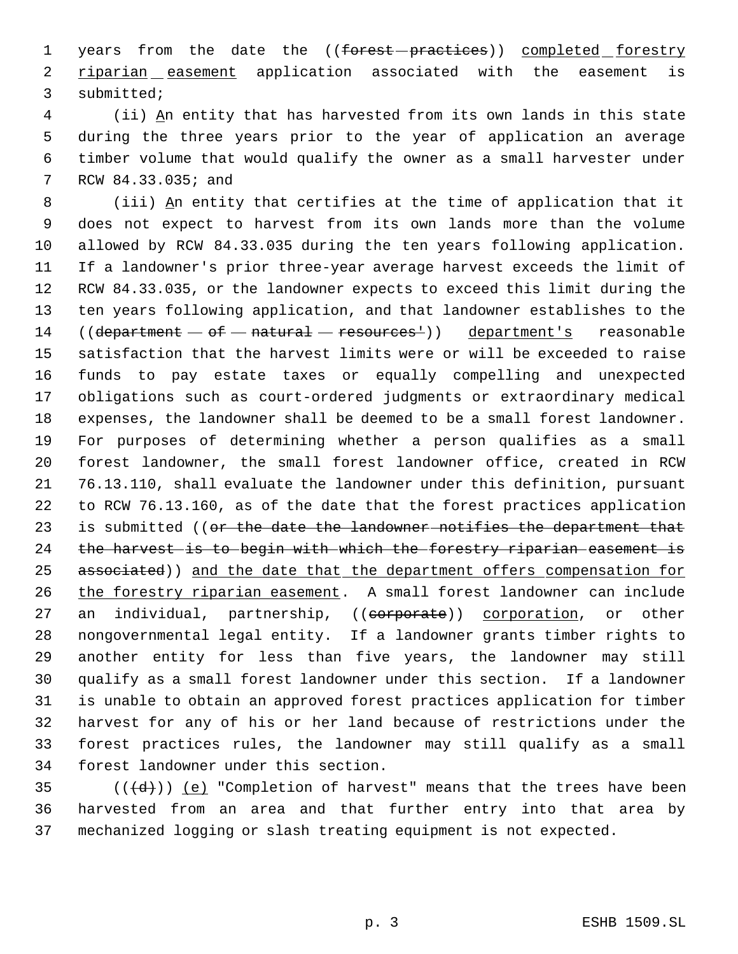1 years from the date the ((forest-practices)) completed forestry 2 <u>riparian easement</u> application associated with the easement is submitted;

 (ii) An entity that has harvested from its own lands in this state during the three years prior to the year of application an average timber volume that would qualify the owner as a small harvester under RCW 84.33.035; and

 (iii) An entity that certifies at the time of application that it does not expect to harvest from its own lands more than the volume allowed by RCW 84.33.035 during the ten years following application. If a landowner's prior three-year average harvest exceeds the limit of RCW 84.33.035, or the landowner expects to exceed this limit during the ten years following application, and that landowner establishes to the 14 (( $\text{department} - \text{of} - \text{natural} - \text{reservation}$ )) department's reasonable satisfaction that the harvest limits were or will be exceeded to raise funds to pay estate taxes or equally compelling and unexpected obligations such as court-ordered judgments or extraordinary medical expenses, the landowner shall be deemed to be a small forest landowner. For purposes of determining whether a person qualifies as a small forest landowner, the small forest landowner office, created in RCW 76.13.110, shall evaluate the landowner under this definition, pursuant to RCW 76.13.160, as of the date that the forest practices application 23 is submitted ((or the date the landowner notifies the department that the harvest is to begin with which the forestry riparian easement is 25 associated)) and the date that the department offers compensation for the forestry riparian easement. A small forest landowner can include 27 an individual, partnership, ((corporate)) corporation, or other nongovernmental legal entity. If a landowner grants timber rights to another entity for less than five years, the landowner may still qualify as a small forest landowner under this section. If a landowner is unable to obtain an approved forest practices application for timber harvest for any of his or her land because of restrictions under the forest practices rules, the landowner may still qualify as a small forest landowner under this section.

35 ( $(\overline{\{d\}})$ ) <u>(e)</u> "Completion of harvest" means that the trees have been harvested from an area and that further entry into that area by mechanized logging or slash treating equipment is not expected.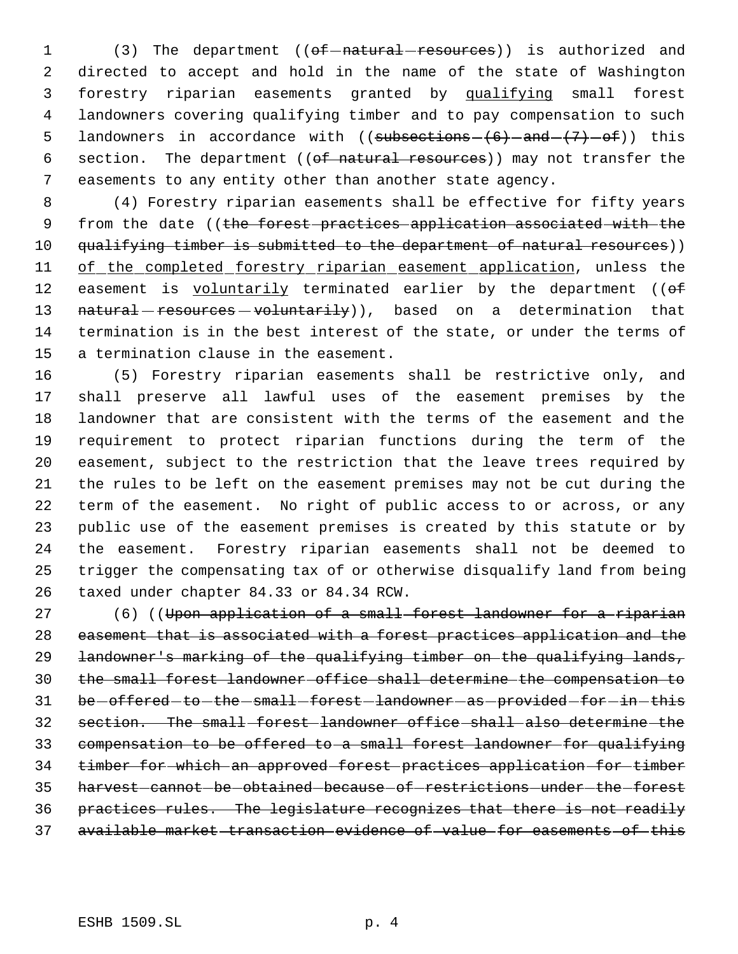1 (3) The department ((of-natural-resources)) is authorized and directed to accept and hold in the name of the state of Washington forestry riparian easements granted by qualifying small forest landowners covering qualifying timber and to pay compensation to such 5 landowners in accordance with ((subsections  $-(6)$  -and  $(+7)$  -of)) this 6 section. The department ((of natural resources)) may not transfer the easements to any entity other than another state agency.

 (4) Forestry riparian easements shall be effective for fifty years 9 from the date ((the forest practices application associated with the 10 qualifying timber is submitted to the department of natural resources)) 11 of the completed forestry riparian easement application, unless the 12 easement is voluntarily terminated earlier by the department ((of 13 natural resources - voluntarily)), based on a determination that termination is in the best interest of the state, or under the terms of a termination clause in the easement.

 (5) Forestry riparian easements shall be restrictive only, and shall preserve all lawful uses of the easement premises by the landowner that are consistent with the terms of the easement and the requirement to protect riparian functions during the term of the easement, subject to the restriction that the leave trees required by the rules to be left on the easement premises may not be cut during the term of the easement. No right of public access to or across, or any public use of the easement premises is created by this statute or by the easement. Forestry riparian easements shall not be deemed to trigger the compensating tax of or otherwise disqualify land from being taxed under chapter 84.33 or 84.34 RCW.

27 (6) ((Upon application of a small forest landowner for a riparian easement that is associated with a forest practices application and the landowner's marking of the qualifying timber on the qualifying lands, the small forest landowner office shall determine the compensation to 31 be-offered-to-the-small-forest-landowner-as-provided-for-in-this section. The small forest landowner office shall also determine the compensation to be offered to a small forest landowner for qualifying timber for which an approved forest practices application for timber harvest cannot be obtained because of restrictions under the forest practices rules. The legislature recognizes that there is not readily available market transaction evidence of value for easements of this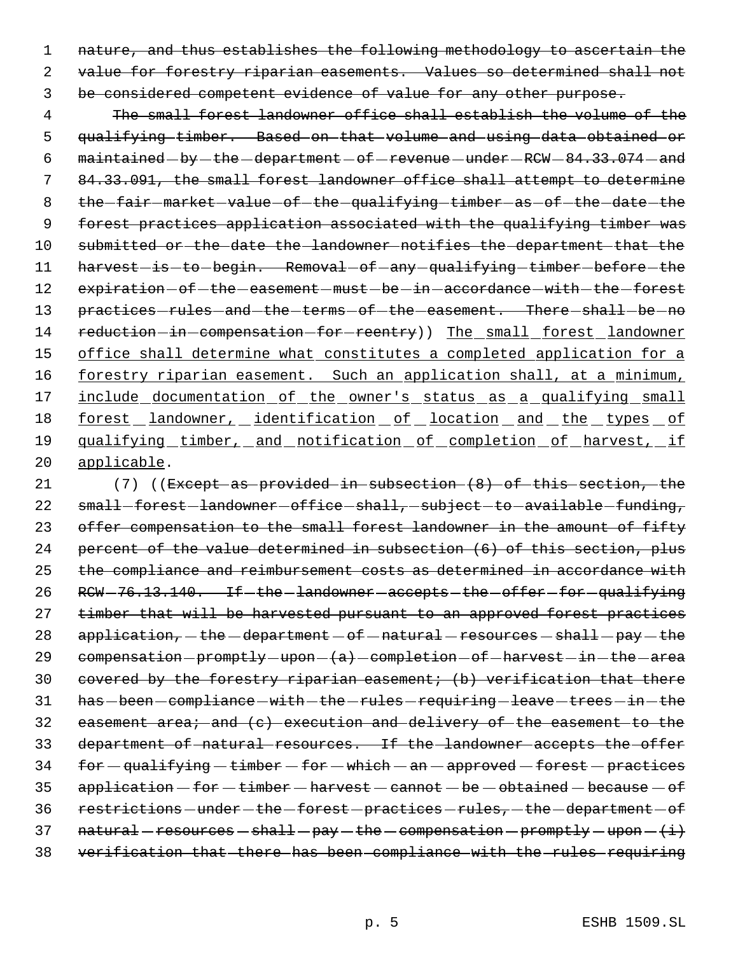1 nature, and thus establishes the following methodology to ascertain the 2 value for forestry riparian easements. Values so determined shall not 3 be considered competent evidence of value for any other purpose.

 4 The small forest landowner office shall establish the volume of the 5 qualifying timber. Based on that volume and using data obtained or 6  $main$ taintained  $-by$  -the  $-department$  -of -revenue -under -RCW -  $84.33.074$  -and 7 84.33.091, the small forest landowner office shall attempt to determine 8 the fair - market - value - of - the - qualifying - timber - as - of - the - date - the 9 forest practices application associated with the qualifying timber was 10 submitted or the date the landowner notifies the department that the 11 harvest-is-to-begin. Removal-of-any-qualifying-timber-before-the 12 expiration - of - the - easement - must - be - in - accordance - with - the - forest 13 practices-rules-and-the-terms-of-the-easement. There-shall-be-no 14 reduction-in-compensation-for-reentry)) The small forest landowner 15 office shall determine what constitutes a completed application for a 16 forestry riparian easement. Such an application shall, at a minimum, 17 include documentation of the owner's status as a qualifying small 18 <u>forest landowner, identification of location and the types of</u> 19 qualifying timber, and notification of completion of harvest, if 20 applicable.

21 (7) ((Except as provided in subsection  $(8)$  of this section, the 22 small-forest-landowner-office-shall, subject-to-available-funding, 23 offer compensation to the small forest landowner in the amount of fifty 24 percent of the value determined in subsection (6) of this section, plus 25 the compliance and reimbursement costs as determined in accordance with 26 RCW-76.13.140. If the landowner accepts the offer for qualifying 27 timber that will be harvested pursuant to an approved forest practices 28  $application, -the-dependent - of - natural - resources - shall - pay - the$ 29 compensation  $premptly-upon-(a)-completion-of-harvest-in-the-area$ 30 covered by the forestry riparian easement; (b) verification that there 31 has -been - compliance - with - the - rules - requiring -leave - trees - in - the 32 easement area; and (c) execution and delivery of the easement to the 33 department of natural resources. If the landowner accepts the offer  $34$  for  $-$  qualifying  $-$  timber  $-$  for  $-$  which  $-$  an  $-$  approved  $-$  forest  $-$  practices  $35$  application  $-$  for  $-$  timber  $-$  harvest  $-$  cannot  $-$  be  $-$  obtained  $-$  because  $-$  of 36 restrictions - under - the - forest - practices - rules, - the - department - of 37  $natural-resources - shall - pay - the - compensation - promptly - upon -(*i*)$ 38 verification that there has been compliance with the rules requiring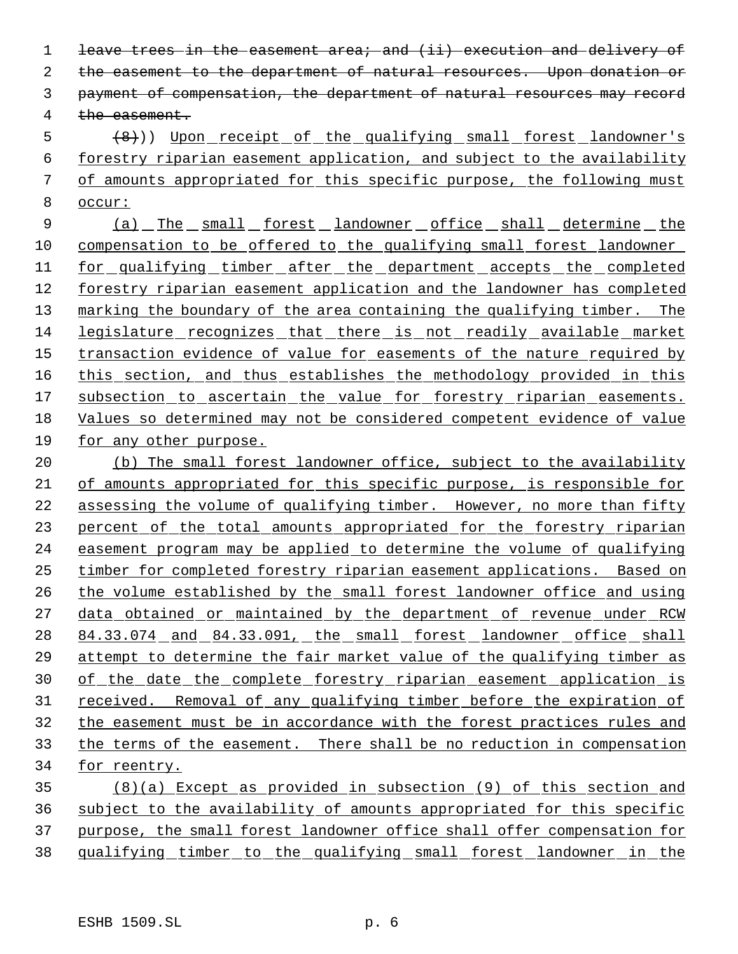1 leave trees in the easement area; and (ii) execution and delivery of the easement to the department of natural resources. Upon donation or payment of compensation, the department of natural resources may record the easement.

5 (8)) Upon receipt of the qualifying small forest landowner's forestry riparian easement application, and subject to the availability of amounts appropriated for this specific purpose, the following must occur:

9 (a) The small forest landowner office shall determine the compensation to be offered to the qualifying small forest landowner for qualifying timber after the department accepts the completed forestry riparian easement application and the landowner has completed 13 marking the boundary of the area containing the qualifying timber. The legislature recognizes that there is not readily available market transaction evidence of value for easements of the nature required by 16 this section, and thus establishes the methodology provided in this 17 subsection to ascertain the value for forestry riparian easements. Values so determined may not be considered competent evidence of value for any other purpose.

20 (b) The small forest landowner office, subject to the availability of amounts appropriated for this specific purpose, is responsible for assessing the volume of qualifying timber. However, no more than fifty percent of the total amounts appropriated for the forestry riparian easement program may be applied to determine the volume of qualifying timber for completed forestry riparian easement applications. Based on the volume established by the small forest landowner office and using 27 data obtained or maintained by the department of revenue under RCW 28 84.33.074 and 84.33.091, the small forest landowner office shall attempt to determine the fair market value of the qualifying timber as 30 of the date the complete forestry riparian easement application is 31 received. Removal of any qualifying timber before the expiration of the easement must be in accordance with the forest practices rules and the terms of the easement. There shall be no reduction in compensation for reentry.

 (8)(a) Except as provided in subsection (9) of this section and subject to the availability of amounts appropriated for this specific purpose, the small forest landowner office shall offer compensation for qualifying timber to the qualifying small forest landowner in the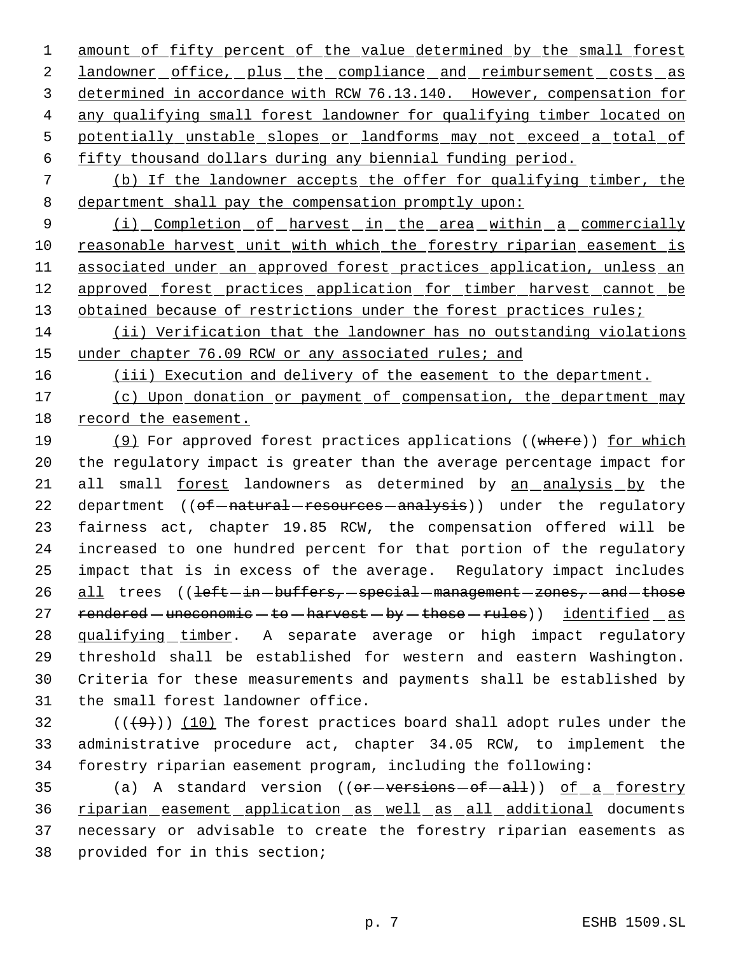1 amount of fifty percent of the value determined by the small forest 2 landowner office, plus the compliance and reimbursement costs as 3 determined in accordance with RCW 76.13.140. However, compensation for 4 any qualifying small forest landowner for qualifying timber located on 5 potentially unstable slopes or landforms may not exceed a total of 6 fifty thousand dollars during any biennial funding period.

 7 (b) If the landowner accepts the offer for qualifying timber, the 8 department shall pay the compensation promptly upon:

9 (i) Completion of harvest in the area within a commercially 10 reasonable harvest unit with which the forestry riparian easement is 11 associated under an approved forest practices application, unless an 12 approved forest practices application for timber harvest cannot be 13 obtained because of restrictions under the forest practices rules;

14 (ii) Verification that the landowner has no outstanding violations 15 under chapter 76.09 RCW or any associated rules; and

16 (iii) Execution and delivery of the easement to the department.

17 (c) Upon donation or payment of compensation, the department may 18 record the easement.

19 (9) For approved forest practices applications ((where)) for which 20 the regulatory impact is greater than the average percentage impact for 21 all small forest landowners as determined by an analysis by the 22 department ((of-natural-resources-analysis)) under the regulatory 23 fairness act, chapter 19.85 RCW, the compensation offered will be 24 increased to one hundred percent for that portion of the regulatory 25 impact that is in excess of the average. Regulatory impact includes 26 all trees ((left-in-buffers, special management - zones, - and - those 27 rendered  $-$  uneconomic  $-$  to  $-$  harvest  $-$  by  $-$  these  $-$  rules)) identified  $-$  as 28 qualifying timber. A separate average or high impact regulatory 29 threshold shall be established for western and eastern Washington. 30 Criteria for these measurements and payments shall be established by 31 the small forest landowner office.

32  $((+9))$  (10) The forest practices board shall adopt rules under the 33 administrative procedure act, chapter 34.05 RCW, to implement the 34 forestry riparian easement program, including the following:

35 (a) A standard version ((or-versions-of-all)) of a forestry riparian easement application as well as all additional documents necessary or advisable to create the forestry riparian easements as provided for in this section;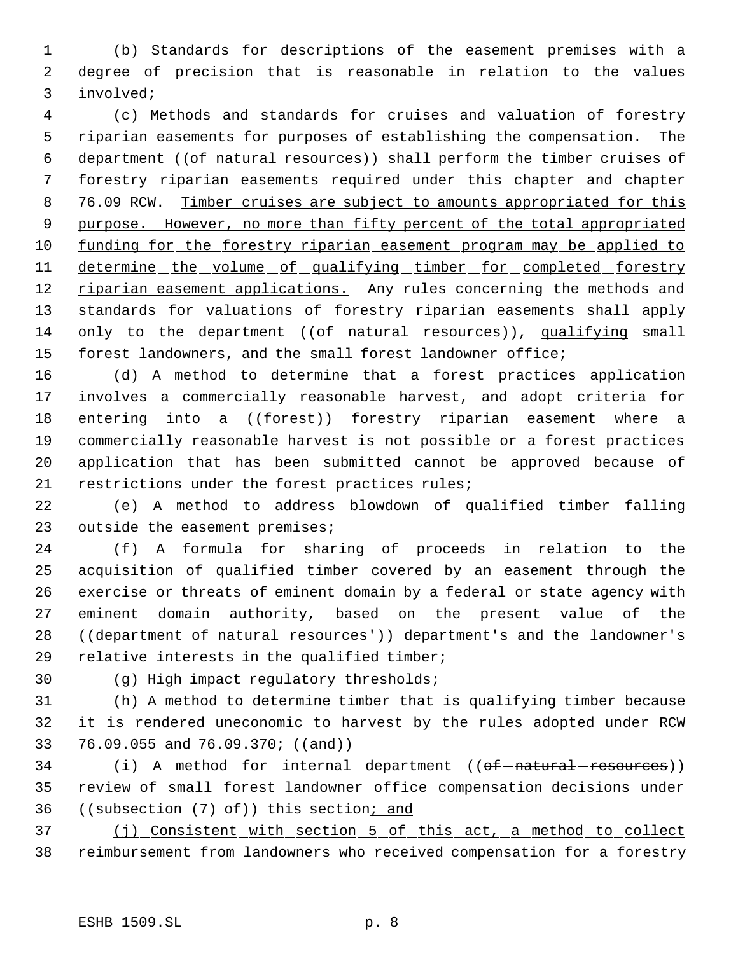(b) Standards for descriptions of the easement premises with a degree of precision that is reasonable in relation to the values involved;

 (c) Methods and standards for cruises and valuation of forestry riparian easements for purposes of establishing the compensation. The 6 department ((of natural resources)) shall perform the timber cruises of forestry riparian easements required under this chapter and chapter 8 76.09 RCW. Timber cruises are subject to amounts appropriated for this purpose. However, no more than fifty percent of the total appropriated funding for the forestry riparian easement program may be applied to 11 determine the volume of qualifying timber for completed forestry 12 riparian easement applications. Any rules concerning the methods and standards for valuations of forestry riparian easements shall apply 14 only to the department  $((of–natural–resources))$ , qualifying small forest landowners, and the small forest landowner office;

 (d) A method to determine that a forest practices application involves a commercially reasonable harvest, and adopt criteria for 18 entering into a ((forest)) forestry riparian easement where a commercially reasonable harvest is not possible or a forest practices application that has been submitted cannot be approved because of restrictions under the forest practices rules;

 (e) A method to address blowdown of qualified timber falling 23 outside the easement premises;

 (f) A formula for sharing of proceeds in relation to the acquisition of qualified timber covered by an easement through the exercise or threats of eminent domain by a federal or state agency with eminent domain authority, based on the present value of the 28 ((department of natural resources<sup>1</sup>)) department's and the landowner's relative interests in the qualified timber;

(g) High impact regulatory thresholds;

 (h) A method to determine timber that is qualifying timber because it is rendered uneconomic to harvest by the rules adopted under RCW 33 76.09.055 and 76.09.370; ((and))

34 (i) A method for internal department ((of-natural-resources)) review of small forest landowner office compensation decisions under 36 ((subsection  $(7)$  of)) this section; and

 (j) Consistent with section 5 of this act, a method to collect 38 reimbursement from landowners who received compensation for a forestry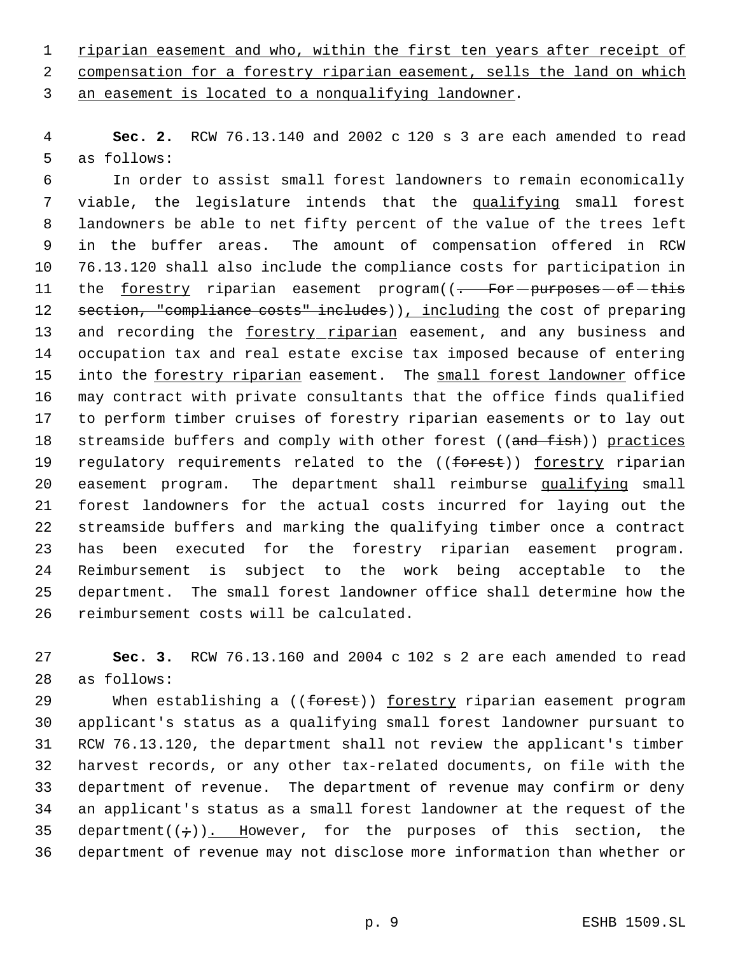1 riparian easement and who, within the first ten years after receipt of compensation for a forestry riparian easement, sells the land on which an easement is located to a nonqualifying landowner.

 **Sec. 2.** RCW 76.13.140 and 2002 c 120 s 3 are each amended to read as follows:

 In order to assist small forest landowners to remain economically 7 viable, the legislature intends that the qualifying small forest landowners be able to net fifty percent of the value of the trees left in the buffer areas. The amount of compensation offered in RCW 76.13.120 shall also include the compliance costs for participation in 11 the forestry riparian easement program((- For-purposes-of-this 12 section, "compliance costs" includes)), including the cost of preparing and recording the forestry riparian easement, and any business and occupation tax and real estate excise tax imposed because of entering 15 into the forestry riparian easement. The small forest landowner office may contract with private consultants that the office finds qualified to perform timber cruises of forestry riparian easements or to lay out 18 streamside buffers and comply with other forest ((and fish)) practices 19 regulatory requirements related to the ((forest)) forestry riparian 20 easement program. The department shall reimburse qualifying small forest landowners for the actual costs incurred for laying out the streamside buffers and marking the qualifying timber once a contract has been executed for the forestry riparian easement program. Reimbursement is subject to the work being acceptable to the department. The small forest landowner office shall determine how the reimbursement costs will be calculated.

 **Sec. 3.** RCW 76.13.160 and 2004 c 102 s 2 are each amended to read as follows:

29 When establishing a ((forest)) forestry riparian easement program applicant's status as a qualifying small forest landowner pursuant to RCW 76.13.120, the department shall not review the applicant's timber harvest records, or any other tax-related documents, on file with the department of revenue. The department of revenue may confirm or deny an applicant's status as a small forest landowner at the request of the 35 department( $(\div)$ ). However, for the purposes of this section, the department of revenue may not disclose more information than whether or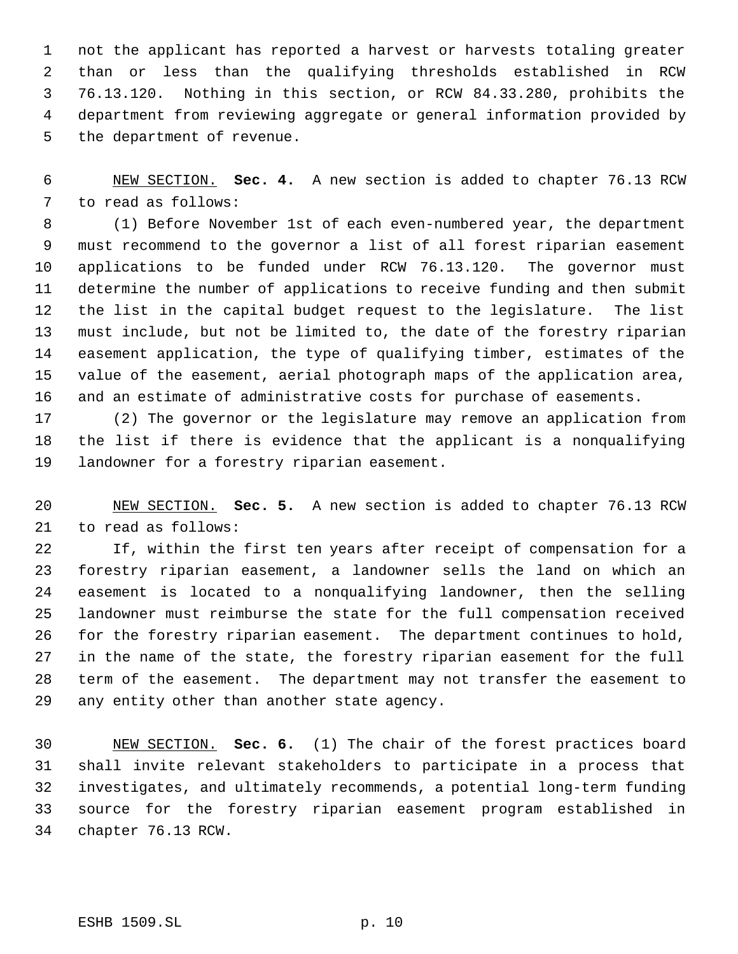not the applicant has reported a harvest or harvests totaling greater than or less than the qualifying thresholds established in RCW 76.13.120. Nothing in this section, or RCW 84.33.280, prohibits the department from reviewing aggregate or general information provided by the department of revenue.

 NEW SECTION. **Sec. 4.** A new section is added to chapter 76.13 RCW to read as follows:

 (1) Before November 1st of each even-numbered year, the department must recommend to the governor a list of all forest riparian easement applications to be funded under RCW 76.13.120. The governor must determine the number of applications to receive funding and then submit the list in the capital budget request to the legislature. The list must include, but not be limited to, the date of the forestry riparian easement application, the type of qualifying timber, estimates of the value of the easement, aerial photograph maps of the application area, and an estimate of administrative costs for purchase of easements.

 (2) The governor or the legislature may remove an application from the list if there is evidence that the applicant is a nonqualifying landowner for a forestry riparian easement.

 NEW SECTION. **Sec. 5.** A new section is added to chapter 76.13 RCW to read as follows:

 If, within the first ten years after receipt of compensation for a forestry riparian easement, a landowner sells the land on which an easement is located to a nonqualifying landowner, then the selling landowner must reimburse the state for the full compensation received for the forestry riparian easement. The department continues to hold, in the name of the state, the forestry riparian easement for the full term of the easement. The department may not transfer the easement to any entity other than another state agency.

 NEW SECTION. **Sec. 6.** (1) The chair of the forest practices board shall invite relevant stakeholders to participate in a process that investigates, and ultimately recommends, a potential long-term funding source for the forestry riparian easement program established in chapter 76.13 RCW.